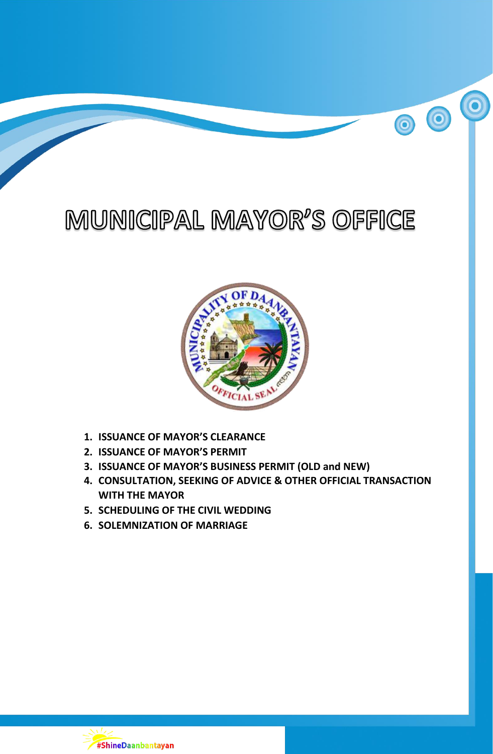# MUNICIPAL MAYOR'S OFFICE

 $\bigcirc$ 

 $\bullet$ 



- **1. ISSUANCE OF MAYOR'S CLEARANCE**
- **2. ISSUANCE OF MAYOR'S PERMIT**
- **3. ISSUANCE OF MAYOR'S BUSINESS PERMIT (OLD and NEW)**
- **4. CONSULTATION, SEEKING OF ADVICE & OTHER OFFICIAL TRANSACTION WITH THE MAYOR**
- **5. SCHEDULING OF THE CIVIL WEDDING**
- **6. SOLEMNIZATION OF MARRIAGE**

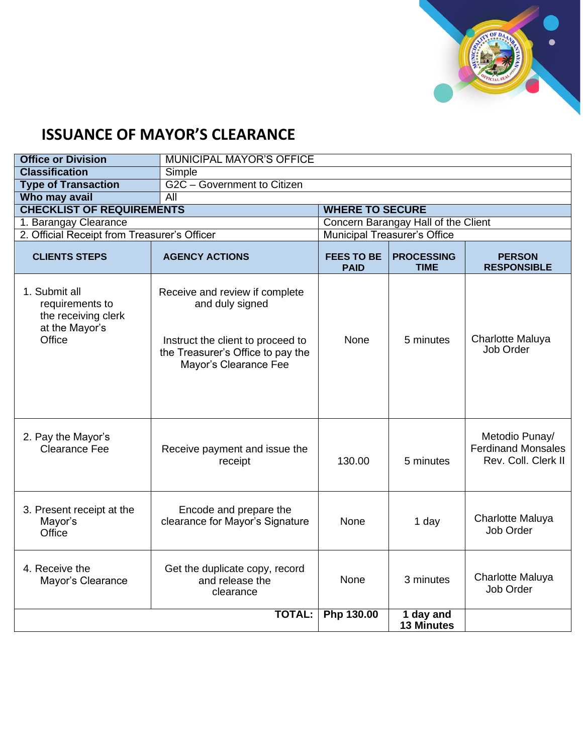

## **ISSUANCE OF MAYOR'S CLEARANCE**

| <b>Office or Division</b>                                                           | <b>MUNICIPAL MAYOR'S OFFICE</b>                                                                                                                      |                                     |                                     |                                                                    |  |
|-------------------------------------------------------------------------------------|------------------------------------------------------------------------------------------------------------------------------------------------------|-------------------------------------|-------------------------------------|--------------------------------------------------------------------|--|
| <b>Classification</b>                                                               | Simple                                                                                                                                               |                                     |                                     |                                                                    |  |
| <b>Type of Transaction</b>                                                          | G2C - Government to Citizen                                                                                                                          |                                     |                                     |                                                                    |  |
| Who may avail                                                                       | All                                                                                                                                                  |                                     |                                     |                                                                    |  |
| <b>CHECKLIST OF REQUIREMENTS</b>                                                    |                                                                                                                                                      | <b>WHERE TO SECURE</b>              |                                     |                                                                    |  |
| 1. Barangay Clearance                                                               |                                                                                                                                                      | Concern Barangay Hall of the Client |                                     |                                                                    |  |
| 2. Official Receipt from Treasurer's Officer                                        |                                                                                                                                                      |                                     | <b>Municipal Treasurer's Office</b> |                                                                    |  |
| <b>CLIENTS STEPS</b>                                                                | <b>AGENCY ACTIONS</b>                                                                                                                                | <b>FEES TO BE</b><br><b>PAID</b>    | <b>PROCESSING</b><br><b>TIME</b>    | <b>PERSON</b><br><b>RESPONSIBLE</b>                                |  |
| 1. Submit all<br>requirements to<br>the receiving clerk<br>at the Mayor's<br>Office | Receive and review if complete<br>and duly signed<br>Instruct the client to proceed to<br>the Treasurer's Office to pay the<br>Mayor's Clearance Fee | None                                | 5 minutes                           | Charlotte Maluya<br>Job Order                                      |  |
| 2. Pay the Mayor's<br>Clearance Fee                                                 | Receive payment and issue the<br>receipt                                                                                                             | 130.00                              | 5 minutes                           | Metodio Punay/<br><b>Ferdinand Monsales</b><br>Rev. Coll. Clerk II |  |
| 3. Present receipt at the<br>Mayor's<br>Office                                      | Encode and prepare the<br>clearance for Mayor's Signature                                                                                            | None                                | 1 day                               | <b>Charlotte Maluya</b><br>Job Order                               |  |
| 4. Receive the<br>Mayor's Clearance                                                 | Get the duplicate copy, record<br>and release the<br>clearance                                                                                       | <b>None</b>                         | 3 minutes                           | Charlotte Maluya<br>Job Order                                      |  |
|                                                                                     | <b>TOTAL:</b>                                                                                                                                        | <b>Php 130.00</b>                   | 1 day and<br><b>13 Minutes</b>      |                                                                    |  |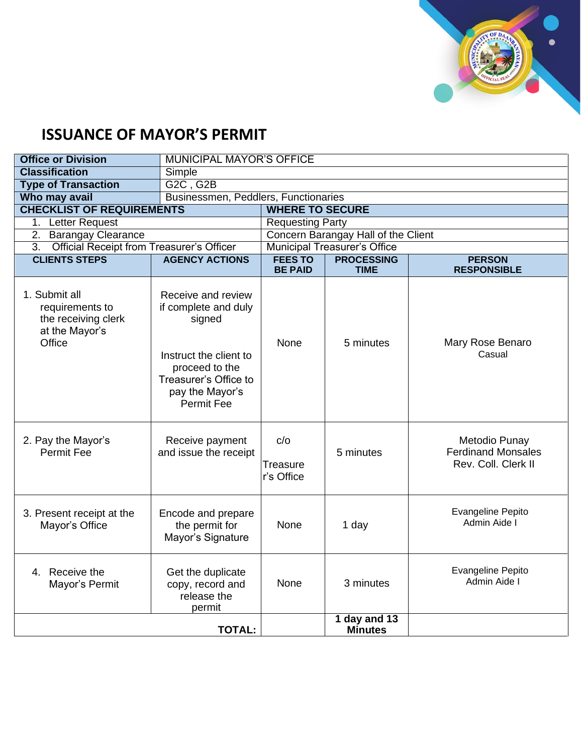

## **ISSUANCE OF MAYOR'S PERMIT**

| <b>Office or Division</b>                                                           | <b>MUNICIPAL MAYOR'S OFFICE</b>                                                                                                                                   |                                      |                                                                         |                                                                   |  |
|-------------------------------------------------------------------------------------|-------------------------------------------------------------------------------------------------------------------------------------------------------------------|--------------------------------------|-------------------------------------------------------------------------|-------------------------------------------------------------------|--|
| <b>Classification</b>                                                               | Simple                                                                                                                                                            |                                      |                                                                         |                                                                   |  |
| <b>Type of Transaction</b>                                                          | G2C, G2B                                                                                                                                                          |                                      |                                                                         |                                                                   |  |
| Who may avail                                                                       |                                                                                                                                                                   | Businessmen, Peddlers, Functionaries |                                                                         |                                                                   |  |
| <b>CHECKLIST OF REQUIREMENTS</b>                                                    |                                                                                                                                                                   | <b>WHERE TO SECURE</b>               |                                                                         |                                                                   |  |
| 1. Letter Request                                                                   |                                                                                                                                                                   | <b>Requesting Party</b>              |                                                                         |                                                                   |  |
| <b>Barangay Clearance</b><br>2.                                                     |                                                                                                                                                                   |                                      | Concern Barangay Hall of the Client                                     |                                                                   |  |
| <b>Official Receipt from Treasurer's Officer</b><br>3.                              |                                                                                                                                                                   |                                      | <b>Municipal Treasurer's Office</b>                                     |                                                                   |  |
| <b>CLIENTS STEPS</b>                                                                | <b>AGENCY ACTIONS</b>                                                                                                                                             | <b>FEES TO</b><br><b>BE PAID</b>     | <b>PROCESSING</b><br><b>PERSON</b><br><b>RESPONSIBLE</b><br><b>TIME</b> |                                                                   |  |
| 1. Submit all<br>requirements to<br>the receiving clerk<br>at the Mayor's<br>Office | Receive and review<br>if complete and duly<br>signed<br>Instruct the client to<br>proceed to the<br>Treasurer's Office to<br>pay the Mayor's<br><b>Permit Fee</b> | <b>None</b>                          | 5 minutes                                                               | Mary Rose Benaro<br>Casual                                        |  |
| 2. Pay the Mayor's<br><b>Permit Fee</b>                                             | Receive payment<br>and issue the receipt                                                                                                                          | C/O<br>Treasure<br>r's Office        | 5 minutes                                                               | Metodio Punay<br><b>Ferdinand Monsales</b><br>Rev. Coll. Clerk II |  |
| 3. Present receipt at the<br>Mayor's Office                                         | Encode and prepare<br>the permit for<br>Mayor's Signature                                                                                                         | None                                 | 1 day                                                                   | Evangeline Pepito<br>Admin Aide I                                 |  |
| 4. Receive the<br>Mayor's Permit                                                    | Get the duplicate<br>copy, record and<br>release the<br>permit                                                                                                    | <b>None</b>                          | 3 minutes                                                               | <b>Evangeline Pepito</b><br>Admin Aide I                          |  |
|                                                                                     | <b>TOTAL:</b>                                                                                                                                                     |                                      | 1 day and 13<br><b>Minutes</b>                                          |                                                                   |  |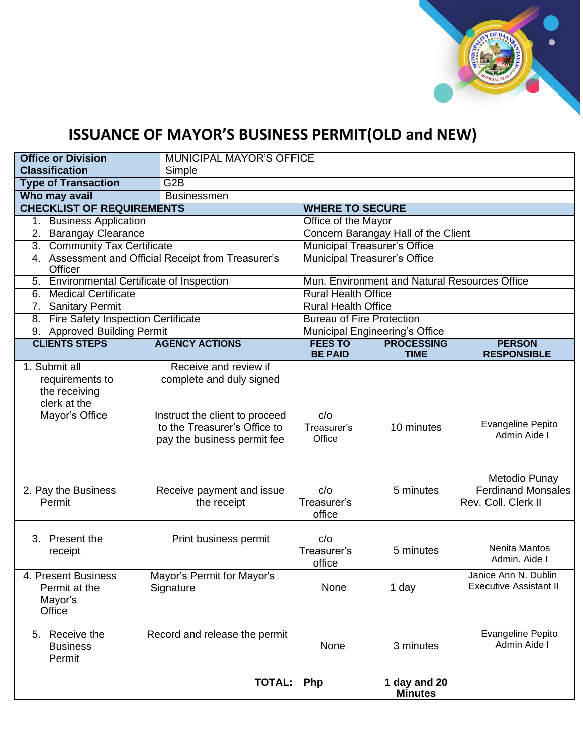

# **ISSUANCE OF MAYOR'S BUSINESS PERMIT(OLD and NEW)**

| <b>Office or Division</b>                                                           |                                                                                                                                                    | <b>MUNICIPAL MAYOR'S OFFICE</b>               |                                       |                                                                   |  |  |
|-------------------------------------------------------------------------------------|----------------------------------------------------------------------------------------------------------------------------------------------------|-----------------------------------------------|---------------------------------------|-------------------------------------------------------------------|--|--|
| <b>Classification</b>                                                               | Simple                                                                                                                                             |                                               |                                       |                                                                   |  |  |
| <b>Type of Transaction</b>                                                          | G2B                                                                                                                                                |                                               |                                       |                                                                   |  |  |
| Who may avail                                                                       | <b>Businessmen</b>                                                                                                                                 |                                               |                                       |                                                                   |  |  |
|                                                                                     | <b>CHECKLIST OF REQUIREMENTS</b><br><b>WHERE TO SECURE</b>                                                                                         |                                               |                                       |                                                                   |  |  |
| <b>Business Application</b><br>1.                                                   | Office of the Mayor                                                                                                                                |                                               |                                       |                                                                   |  |  |
| <b>Barangay Clearance</b><br>2.                                                     |                                                                                                                                                    |                                               | Concern Barangay Hall of the Client   |                                                                   |  |  |
| 3. Community Tax Certificate                                                        |                                                                                                                                                    | <b>Municipal Treasurer's Office</b>           |                                       |                                                                   |  |  |
| 4. Assessment and Official Receipt from Treasurer's<br>Officer                      |                                                                                                                                                    |                                               | <b>Municipal Treasurer's Office</b>   |                                                                   |  |  |
| 5. Environmental Certificate of Inspection                                          |                                                                                                                                                    | Mun. Environment and Natural Resources Office |                                       |                                                                   |  |  |
| <b>Medical Certificate</b><br>6.                                                    |                                                                                                                                                    | <b>Rural Health Office</b>                    |                                       |                                                                   |  |  |
| 7. Sanitary Permit                                                                  |                                                                                                                                                    | <b>Rural Health Office</b>                    |                                       |                                                                   |  |  |
| <b>Fire Safety Inspection Certificate</b><br>8.                                     |                                                                                                                                                    | <b>Bureau of Fire Protection</b>              |                                       |                                                                   |  |  |
| 9. Approved Building Permit                                                         |                                                                                                                                                    |                                               | <b>Municipal Engineering's Office</b> |                                                                   |  |  |
| <b>CLIENTS STEPS</b>                                                                | <b>AGENCY ACTIONS</b>                                                                                                                              | <b>FEES TO</b><br><b>BE PAID</b>              | <b>PROCESSING</b><br><b>TIME</b>      | <b>PERSON</b><br><b>RESPONSIBLE</b>                               |  |  |
| 1. Submit all<br>requirements to<br>the receiving<br>clerk at the<br>Mayor's Office | Receive and review if<br>complete and duly signed<br>Instruct the client to proceed<br>to the Treasurer's Office to<br>pay the business permit fee | c/o<br>Treasurer's<br>Office                  | 10 minutes                            | Evangeline Pepito<br>Admin Aide I                                 |  |  |
| 2. Pay the Business<br>Permit                                                       | Receive payment and issue<br>the receipt                                                                                                           | c/o<br>Treasurer's<br>office                  | 5 minutes                             | Metodio Punay<br><b>Ferdinand Monsales</b><br>Rev. Coll. Clerk II |  |  |
| 3. Present the<br>receipt                                                           | Print business permit                                                                                                                              | c/o<br>Treasurer's<br>office                  | 5 minutes                             | Nenita Mantos<br>Admin. Aide I                                    |  |  |
| 4. Present Business<br>Permit at the<br>Mayor's<br>Office                           | Mayor's Permit for Mayor's<br>Signature                                                                                                            | None                                          | 1 day                                 | Janice Ann N. Dublin<br><b>Executive Assistant II</b>             |  |  |
| 5. Receive the<br><b>Business</b><br>Permit                                         | Record and release the permit                                                                                                                      | None                                          | 3 minutes                             | Evangeline Pepito<br>Admin Aide I                                 |  |  |
|                                                                                     | <b>TOTAL:</b>                                                                                                                                      | Php                                           | 1 day and 20<br><b>Minutes</b>        |                                                                   |  |  |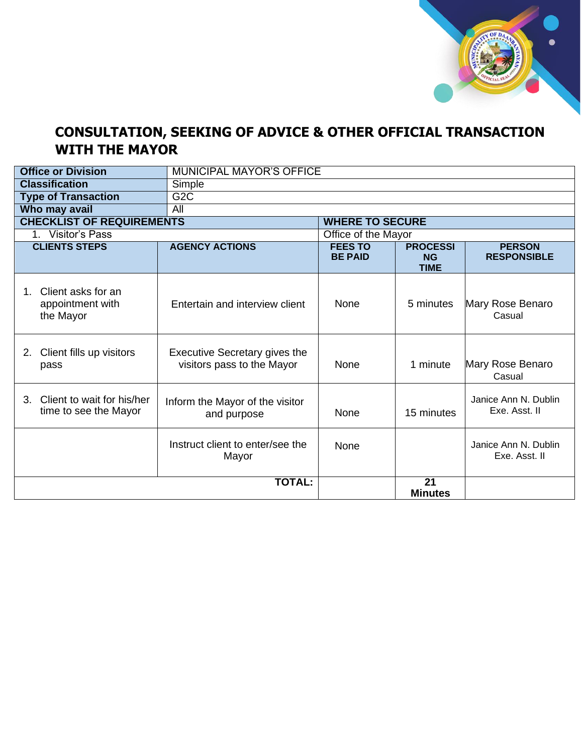

#### **CONSULTATION, SEEKING OF ADVICE & OTHER OFFICIAL TRANSACTION WITH THE MAYOR**

| <b>Office or Division</b>                                      |                                                             | <b>MUNICIPAL MAYOR'S OFFICE</b>  |                                             |                                       |  |
|----------------------------------------------------------------|-------------------------------------------------------------|----------------------------------|---------------------------------------------|---------------------------------------|--|
| <b>Classification</b>                                          | Simple                                                      |                                  |                                             |                                       |  |
| <b>Type of Transaction</b>                                     | G2C                                                         |                                  |                                             |                                       |  |
| Who may avail                                                  | $\overline{All}$                                            |                                  |                                             |                                       |  |
| <b>CHECKLIST OF REQUIREMENTS</b>                               |                                                             | <b>WHERE TO SECURE</b>           |                                             |                                       |  |
| 1. Visitor's Pass                                              |                                                             | Office of the Mayor              |                                             |                                       |  |
| <b>CLIENTS STEPS</b>                                           | <b>AGENCY ACTIONS</b>                                       | <b>FEES TO</b><br><b>BE PAID</b> | <b>PROCESSI</b><br><b>NG</b><br><b>TIME</b> | <b>PERSON</b><br><b>RESPONSIBLE</b>   |  |
| Client asks for an<br>$1_{-}$<br>appointment with<br>the Mayor | Entertain and interview client                              | None                             | 5 minutes                                   | Mary Rose Benaro<br>Casual            |  |
| Client fills up visitors<br>2.<br>pass                         | Executive Secretary gives the<br>visitors pass to the Mayor | None                             | 1 minute                                    | Mary Rose Benaro<br>Casual            |  |
| Client to wait for his/her<br>3.<br>time to see the Mayor      | Inform the Mayor of the visitor<br>and purpose              | None                             | 15 minutes                                  | Janice Ann N. Dublin<br>Exe. Asst. II |  |
|                                                                | Instruct client to enter/see the<br>Mayor                   | None                             |                                             | Janice Ann N. Dublin<br>Exe. Asst. II |  |
|                                                                | <b>TOTAL:</b>                                               |                                  | 21<br><b>Minutes</b>                        |                                       |  |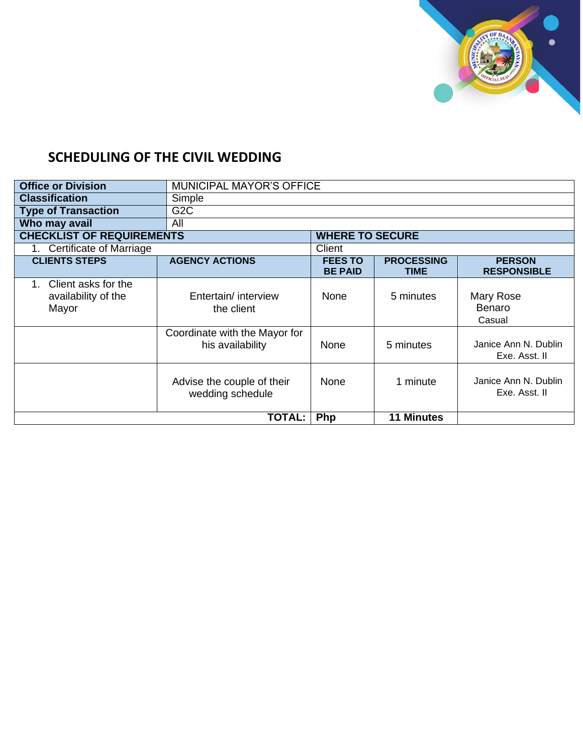

### **SCHEDULING OF THE CIVIL WEDDING**

| <b>Office or Division</b>                           | <b>MUNICIPAL MAYOR'S OFFICE</b>                   |                                  |                                  |                                       |  |
|-----------------------------------------------------|---------------------------------------------------|----------------------------------|----------------------------------|---------------------------------------|--|
| <b>Classification</b>                               | Simple                                            |                                  |                                  |                                       |  |
| <b>Type of Transaction</b>                          | G <sub>2</sub> C                                  |                                  |                                  |                                       |  |
| Who may avail                                       | All                                               |                                  |                                  |                                       |  |
| <b>CHECKLIST OF REQUIREMENTS</b>                    |                                                   | <b>WHERE TO SECURE</b>           |                                  |                                       |  |
| <b>Certificate of Marriage</b>                      |                                                   |                                  | Client                           |                                       |  |
| <b>CLIENTS STEPS</b>                                | <b>AGENCY ACTIONS</b>                             | <b>FEES TO</b><br><b>BE PAID</b> | <b>PROCESSING</b><br><b>TIME</b> | <b>PERSON</b><br><b>RESPONSIBLE</b>   |  |
| Client asks for the<br>availability of the<br>Mayor | Entertain/ interview<br>the client                | None                             | 5 minutes                        | <b>Mary Rose</b><br>Benaro<br>Casual  |  |
|                                                     | Coordinate with the Mayor for<br>his availability | None                             | 5 minutes                        | Janice Ann N. Dublin<br>Exe. Asst. II |  |
|                                                     | Advise the couple of their<br>wedding schedule    | None                             | 1 minute                         | Janice Ann N. Dublin<br>Exe. Asst. II |  |
| <b>TOTAL:</b>                                       |                                                   | Php                              | <b>11 Minutes</b>                |                                       |  |